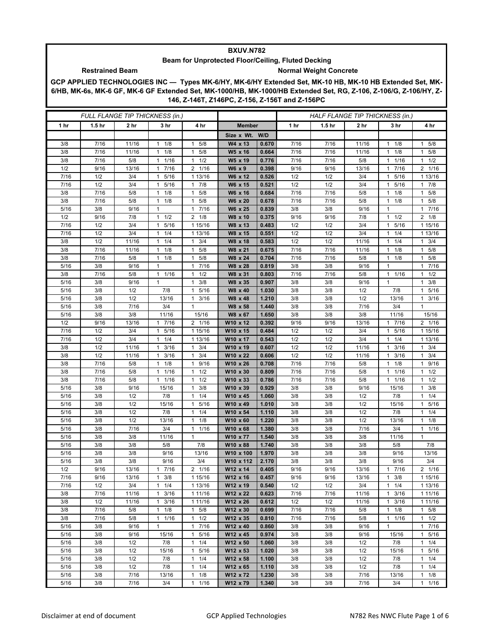## **BXUV.N782**

## **Beam for Unprotected Floor/Ceiling, Fluted Decking Restrained Beam Normal Weight Concrete**

**GCP APPLIED TECHNOLOGIES INC — Types MK-6/HY, MK-6/HY Extended Set, MK-10 HB, MK-10 HB Extended Set, MK-6/HB, MK-6s, MK-6 GF, MK-6 GF Extended Set, MK-1000/HB, MK-1000/HB Extended Set, RG, Z-106, Z-106/G, Z-106/HY, Z-146, Z-146T, Z146PC, Z-156, Z-156T and Z-156PC**

| FULL FLANGE TIP THICKNESS (in.) |                   |              |                           |                                            |                      | HALF FLANGE TIP THICKNESS (in.) |              |                   |              |                                 |                           |
|---------------------------------|-------------------|--------------|---------------------------|--------------------------------------------|----------------------|---------------------------------|--------------|-------------------|--------------|---------------------------------|---------------------------|
| 1 hr                            | 1.5 <sub>hr</sub> | 2 hr         | 3 hr                      | 4 hr                                       | <b>Member</b>        |                                 | 1 hr         | 1.5 <sub>hr</sub> | 2 hr         | 3 hr                            | 4 hr                      |
|                                 |                   |              |                           |                                            | Size x Wt. W/D       |                                 |              |                   |              |                                 |                           |
| 3/8                             | 7/16              | 11/16        | 1/8<br>$\mathbf{1}$       | 5/8<br>$\mathbf{1}$                        | W4 x 13              | 0.670                           | 7/16         | 7/16              | 11/16        | 1/8<br>1                        | 1 5/8                     |
| 3/8                             | 7/16              | 11/16        | 1/8<br>$\mathbf{1}$       | 5/8<br>$\mathbf{1}$                        | W5 x 16              | 0.664                           | 7/16         | 7/16              | 11/16        | 1/8<br>$\mathbf{1}$             | 1 5/8                     |
| 3/8                             | 7/16              | 5/8          | 1/16<br>$\mathbf{1}$      | 1/2<br>$\mathbf{1}$                        | W5 x 19              | 0.776                           | 7/16         | 7/16              | 5/8          | 1/16<br>1                       | $1 \t1/2$                 |
| 1/2                             | 9/16              | 13/16        | 7/16<br>$\mathbf{1}$      | 2 1/16                                     | W6 x 9               | 0.398                           | 9/16         | 9/16              | 13/16        | 7/16<br>1                       | 2 1/16                    |
| 7/16                            | 1/2               | 3/4          | 5/16<br>$\mathbf{1}$      | 1 13/16                                    | W6 x 12              | 0.526                           | 1/2          | 1/2               | 3/4          | 5/16<br>1                       | 1 13/16                   |
| 7/16                            | 1/2               | 3/4          | 5/16<br>$\mathbf{1}$      | 7/8<br>1                                   | W6 x 15              | 0.521                           | 1/2          | 1/2               | 3/4          | 5/16<br>1                       | $1 \t7/8$                 |
| 3/8                             | 7/16              | 5/8          | 1/8<br>1                  | 5/8<br>$\mathbf{1}$                        | W6 x 16              | 0.684                           | 7/16         | 7/16              | 5/8          | 1/8<br>1                        | 1 5/8                     |
| 3/8                             | 7/16              | 5/8          | 1/8<br>$\mathbf{1}$       | 5/8<br>$\mathbf{1}$                        | W6 x 20              | 0.678                           | 7/16         | 7/16              | 5/8          | 1/8<br>$\mathbf{1}$             | 5/8<br>$\mathbf{1}$       |
| 5/16                            | 3/8               | 9/16         | $\mathbf{1}$              | 7/16<br>$\mathbf{1}$                       | W6 x 25              | 0.839                           | 3/8          | 3/8               | 9/16         | $\mathbf{1}$                    | 1 7/16                    |
| 1/2                             | 9/16              | 7/8          | $1 \t1/2$                 | $2 \t1/8$                                  | W8 x 10              | 0.375                           | 9/16         | 9/16              | 7/8          | $1 \t1/2$                       | $2 \t1/8$                 |
| 7/16                            | 1/2               | 3/4          | 5/16<br>1                 | 1 15/16                                    | W8 x 13              | 0.483                           | 1/2          | 1/2               | 3/4          | 5/16<br>1                       | 1 15/16                   |
| 7/16                            | 1/2               | 3/4          | 1/4<br>$\mathbf{1}$       | 1 13/16                                    | W8 x 15              | 0.551                           | 1/2          | 1/2               | 3/4          | 1/4<br>1                        | 1 13/16                   |
| 3/8                             | 1/2               | 11/16        | $1 \t1/4$                 | 3/4<br>$\mathbf{1}$                        | W8 x 18              | 0.583                           | 1/2          | 1/2               | 11/16        | 1/4<br>$\mathbf{1}$             | $1 \t3/4$                 |
| 3/8<br>3/8                      | 7/16<br>7/16      | 11/16<br>5/8 | 1/8<br>1                  | 5/8<br>$\mathbf{1}$<br>5/8<br>$\mathbf{1}$ | W8 x 21<br>W8 x 24   | 0.675<br>0.704                  | 7/16<br>7/16 | 7/16<br>7/16      | 11/16<br>5/8 | 1/8<br>1<br>1/8<br>$\mathbf{1}$ | 5/8<br>1<br>1 5/8         |
| 5/16                            | 3/8               | 9/16         | $1 \t1/8$<br>$\mathbf{1}$ | 7/16<br>$\mathbf{1}$                       | W8 x 28              | 0.819                           | 3/8          | 3/8               | 9/16         | $\mathbf{1}$                    | 1 7/16                    |
| 3/8                             | 7/16              | 5/8          | $1 \t1/16$                | 1/2<br>1                                   | W8 x 31              | 0.803                           | 7/16         | 7/16              | 5/8          | 1/16<br>1                       | $1 \t1/2$                 |
| 5/16                            | 3/8               | 9/16         | $\mathbf{1}$              | $\mathbf{1}$<br>3/8                        | W8 x 35              | 0.907                           | 3/8          | 3/8               | 9/16         | $\mathbf{1}$                    | 3/8<br>$\mathbf{1}$       |
| 5/16                            | 3/8               | 1/2          | 7/8                       | 5/16<br>$\mathbf{1}$                       | W8 x 40              | 1.030                           | 3/8          | 3/8               | 1/2          | 7/8                             | 5/16<br>$\mathbf{1}$      |
| 5/16                            | 3/8               | 1/2          | 13/16                     | 3/16<br>$\mathbf{1}$                       | W8 x 48              | 1.210                           | 3/8          | 3/8               | 1/2          | 13/16                           | $1 \t3/16$                |
| 5/16                            | 3/8               | 7/16         | 3/4                       | $\mathbf{1}$                               | W8 x 58              | 1.440                           | 3/8          | 3/8               | 7/16         | 3/4                             | $\mathbf{1}$              |
| 5/16                            | 3/8               | 3/8          | 11/16                     | 15/16                                      | W8 x 67              | 1.650                           | 3/8          | 3/8               | 3/8          | 11/16                           | 15/16                     |
| 1/2                             | 9/16              | 13/16        | 17/16                     | 2 1/16                                     | W10 x 12             | 0.392                           | 9/16         | 9/16              | 13/16        | 7/16<br>$\mathbf{1}$            | 2 1/16                    |
| 7/16                            | 1/2               | 3/4          | 5/16<br>$\mathbf{1}$      | 1 15/16                                    | W10 x 15             | 0.484                           | 1/2          | 1/2               | 3/4          | 5/16<br>1                       | 1 15/16                   |
| 7/16                            | 1/2               | 3/4          | 1/4<br>1                  | 1 13/16                                    | W10 x 17             | 0.543                           | 1/2          | 1/2               | 3/4          | 1/4<br>1                        | 1 13/16                   |
| 3/8                             | 1/2               | 11/16        | 3/16<br>1                 | 3/4<br>$\mathbf{1}$                        | W10 x 19             | 0.607                           | 1/2          | 1/2               | 11/16        | 3/16<br>1                       | $1 \t3/4$                 |
| 3/8                             | 1/2               | 11/16        | 3/16<br>$\mathbf{1}$      | $\mathbf{1}$<br>3/4                        | W10 x 22             | 0.606                           | 1/2          | 1/2               | 11/16        | 3/16<br>$\mathbf{1}$            | $1 \t3/4$                 |
| 3/8                             | 7/16              | 5/8          | 1/8<br>$\mathbf{1}$       | 9/16<br>$\mathbf{1}$                       | W10 x 26             | 0.708                           | 7/16         | 7/16              | 5/8          | 1/8<br>1                        | 1<br>9/16                 |
| 3/8                             | 7/16              | 5/8          | 1/16<br>1                 | 1/2<br>$\mathbf{1}$                        | W10 x 30             | 0.809                           | 7/16         | 7/16              | 5/8          | 1/16<br>1                       | 1/2<br>$\mathbf{1}$       |
| 3/8                             | 7/16              | 5/8          | 1/16<br>$\mathbf{1}$      | 1/2<br>$\mathbf{1}$                        | W10 x 33             | 0.786                           | 7/16         | 7/16              | 5/8          | 1/16<br>1                       | 1/2<br>1                  |
| 5/16                            | 3/8               | 9/16         | 15/16                     | 3/8<br>$\mathbf{1}$                        | W10 x 39             | 0.929                           | 3/8          | 3/8               | 9/16         | 15/16                           | $1 \t3/8$                 |
| 5/16                            | 3/8               | 1/2          | 7/8                       | 1/4<br>$\mathbf{1}$                        | W10 x 45             | 1.060                           | 3/8          | 3/8               | 1/2          | 7/8                             | $1 \t1/4$                 |
| 5/16                            | 3/8               | 1/2          | 15/16                     | 5/16<br>1                                  | W10 x 49             | 1.010                           | 3/8          | 3/8               | 1/2          | 15/16                           | 5/16<br>1                 |
| 5/16                            | 3/8               | 1/2          | 7/8                       | 1/4<br>$\mathbf{1}$                        | W10 x 54             | 1.110                           | 3/8          | 3/8               | 1/2          | 7/8                             | $1 \t1/4$                 |
| 5/16                            | 3/8               | 1/2          | 13/16                     | 1/8<br>$\mathbf{1}$                        | W10 x 60             | 1.220                           | 3/8          | 3/8               | 1/2          | 13/16                           | $1 \t1/8$                 |
| 5/16<br>5/16                    | 3/8<br>3/8        | 7/16<br>3/8  | 3/4<br>11/16              | 1/16<br>$\mathbf{1}$<br>$\mathbf{1}$       | W10 x 68<br>W10 x 77 | 1.380<br>1.540                  | 3/8<br>3/8   | 3/8<br>3/8        | 7/16<br>3/8  | 3/4<br>11/16                    | 1/16<br>1<br>$\mathbf{1}$ |
| 5/16                            | 3/8               | 3/8          | 5/8                       | 7/8                                        | W10 x 88             | 1.740                           | 3/8          | 3/8               | 3/8          | 5/8                             | 7/8                       |
| 5/16                            | 3/8               | 3/8          | 9/16                      | 13/16                                      | W10 x 100            | 1.970                           | 3/8          | 3/8               | 3/8          | 9/16                            | 13/16                     |
| 5/16                            | 3/8               | 3/8          | 9/16                      | 3/4                                        | W10 x 112            | 2.170                           | 3/8          | 3/8               | 3/8          | 9/16                            | 3/4                       |
| 1/2                             | 9/16              | 13/16        | 7/16<br>$\mathbf{1}$      | 2 1/16                                     | W12 x 14             | 0.405                           | 9/16         | 9/16              | 13/16        | 7/16<br>$\mathbf{1}$            | 2 1/16                    |
| 7/16                            | 9/16              | 13/16        | 3/8<br>$\mathbf{1}$       | 1 15/16                                    | W12 x 16             | 0.457                           | 9/16         | 9/16              | 13/16        | 3/8<br>1                        | 1 15/16                   |
| 7/16                            | 1/2               | 3/4          | 1/4<br>$\mathbf{1}$       | 1 13/16                                    | W12 x 19             | 0.540                           | 1/2          | 1/2               | 3/4          | 1/4<br>$\mathbf{1}$             | 1 13/16                   |
| 3/8                             | 7/16              | 11/16        | $\mathbf{1}$<br>3/16      | 1 11/16                                    | W12 x 22             | 0.623                           | 7/16         | 7/16              | 11/16        | 3/16<br>$\mathbf{1}$            | 1 1 1 / 16                |
| 3/8                             | 1/2               | 11/16        | 3/16<br>$\mathbf{1}$      | 1 11/16                                    | W12 x 26             | 0.612                           | 1/2          | 1/2               | 11/16        | 3/16<br>1                       | 1 11/16                   |
| 3/8                             | 7/16              | 5/8          | 1/8<br>$\mathbf{1}$       | 5/8<br>$\mathbf{1}$                        | W12 x 30             | 0.699                           | 7/16         | 7/16              | 5/8          | 1/8<br>$\mathbf{1}$             | $1 \t5/8$                 |
| 3/8                             | 7/16              | 5/8          | 1/16<br>$\mathbf{1}$      | $\mathbf{1}$<br>1/2                        | W12 x 35             | 0.810                           | 7/16         | 7/16              | 5/8          | 1/16<br>1                       | $1 \t1/2$                 |
| 5/16                            | 3/8               | 9/16         | $\mathbf{1}$              | 7/16<br>$\mathbf{1}$                       | W12 x 40             | 0.860                           | 3/8          | 3/8               | 9/16         | $\mathbf{1}$                    | 17/16                     |
| 5/16                            | 3/8               | 9/16         | 15/16                     | 5/16<br>$\mathbf{1}$                       | W12 x 45             | 0.974                           | 3/8          | 3/8               | 9/16         | 15/16                           | 1 5/16                    |
| 5/16                            | 3/8               | 1/2          | 7/8                       | 1/4<br>1                                   | W12 x 50             | 1.060                           | 3/8          | 3/8               | 1/2          | 7/8                             | 1<br>1/4                  |
| 5/16                            | 3/8               | 1/2          | 15/16                     | 5/16<br>$\mathbf{1}$                       | W12 x 53             | 1.020                           | 3/8          | 3/8               | 1/2          | 15/16                           | 5/16<br>$\mathbf{1}$      |
| 5/16                            | 3/8               | 1/2          | 7/8                       | $\mathbf{1}$<br>1/4                        | W12 x 58             | 1.100                           | 3/8          | 3/8               | 1/2          | 7/8                             | $1 \t1/4$                 |
| 5/16                            | 3/8               | 1/2          | 7/8                       | $\mathbf{1}$<br>1/4                        | W12 x 65             | 1.110                           | 3/8          | 3/8               | 1/2          | 7/8                             | $1 \t1/4$                 |
| 5/16                            | 3/8               | 7/16         | 13/16                     | 1/8<br>$\mathbf{1}$                        | W12 x 72             | 1.230                           | 3/8          | 3/8               | 7/16         | 13/16                           | $1 \t1/8$                 |
| 5/16                            | 3/8               | 7/16         | 3/4                       | 1/16<br>$\mathbf{1}$                       | W12 x 79             | 1.340                           | 3/8          | 3/8               | 7/16         | 3/4                             | 11/16                     |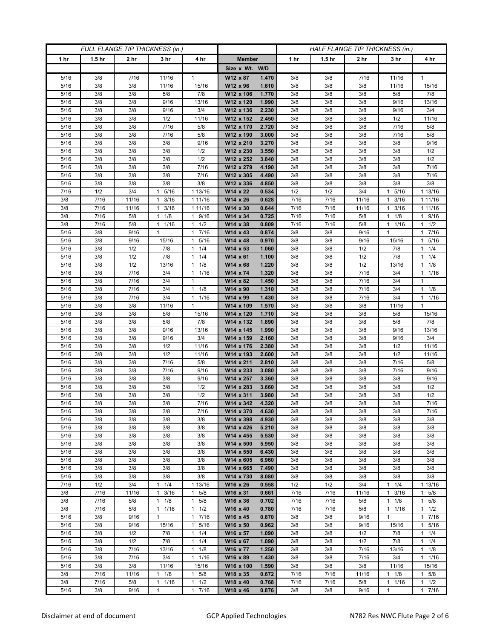| FULL FLANGE TIP THICKNESS (in.) |                   |                 |                          |                                 | HALF FLANGE TIP THICKNESS (in.) |                |              |                   |                 |                                   |                    |
|---------------------------------|-------------------|-----------------|--------------------------|---------------------------------|---------------------------------|----------------|--------------|-------------------|-----------------|-----------------------------------|--------------------|
| 1 hr                            | 1.5 <sub>hr</sub> | 2 <sub>hr</sub> | 3 <sub>hr</sub>          | 4 hr                            | <b>Member</b>                   |                | 1 hr         | 1.5 <sub>hr</sub> | 2 <sub>hr</sub> | 3 hr                              | 4 hr               |
|                                 |                   |                 |                          |                                 | Size x Wt. W/D                  |                |              |                   |                 |                                   |                    |
| 5/16                            | 3/8               | 7/16            | 11/16                    | 1                               | W12 x 87                        | 1.470          | 3/8          | 3/8               | 7/16            | 11/16                             | 1                  |
| 5/16                            | 3/8               | 3/8             | 11/16                    | 15/16                           | W12 x 96                        | 1.610          | 3/8          | 3/8               | 3/8             | 11/16                             | 15/16              |
| 5/16                            | 3/8               | 3/8             | 5/8                      | 7/8                             | W12 x 106                       | 1.770          | 3/8          | 3/8               | 3/8             | 5/8                               | 7/8                |
| 5/16                            | 3/8               | 3/8             | 9/16                     | 13/16                           | W12 x 120                       | 1.990          | 3/8          | 3/8               | 3/8             | 9/16                              | 13/16              |
| 5/16                            | 3/8               | 3/8             | 9/16                     | 3/4                             | W12 x 136                       | 2.230          | 3/8          | 3/8               | 3/8             | 9/16                              | 3/4                |
| 5/16                            | 3/8               | 3/8             | 1/2                      | 11/16                           | W12 x 152                       | 2.450          | 3/8          | 3/8               | 3/8             | 1/2                               | 11/16              |
| 5/16                            | 3/8               | 3/8             | 7/16                     | 5/8                             | W12 x 170                       | 2.720          | 3/8          | 3/8               | 3/8             | 7/16                              | 5/8                |
| 5/16                            | 3/8               | 3/8             | 7/16                     | 5/8                             | W12 x 190                       | 3.000          | 3/8          | 3/8               | 3/8             | 7/16                              | 5/8                |
| 5/16                            | 3/8               | 3/8             | 3/8                      | 9/16                            | W12 x 210                       | 3.270          | 3/8          | 3/8               | 3/8             | 3/8                               | 9/16               |
| 5/16                            | 3/8               | 3/8             | 3/8                      | 1/2                             | W12 x 230                       | 3.550          | 3/8          | 3/8               | 3/8             | 3/8                               | 1/2                |
| 5/16                            | 3/8               | 3/8             | 3/8                      | 1/2                             | W12 x 252                       | 3.840          | 3/8          | 3/8               | 3/8             | 3/8                               | 1/2                |
| 5/16                            | 3/8               | 3/8             | 3/8                      | 7/16                            | W12 x 279                       | 4.190          | 3/8          | 3/8               | 3/8             | 3/8                               | 7/16               |
| 5/16                            | 3/8<br>3/8        | 3/8<br>3/8      | 3/8<br>3/8               | 7/16<br>3/8                     | W12 x 305<br>W12 x 336          | 4.490<br>4.850 | 3/8          | 3/8<br>3/8        | 3/8<br>3/8      | 3/8<br>3/8                        | 7/16<br>3/8        |
| 5/16<br>7/16                    | 1/2               | 3/4             | 5/16<br>1                | 1 13/16                         | W14 x 22                        | 0.534          | 3/8<br>1/2   | 1/2               | 3/4             | 5/16                              | 1 13/16            |
| 3/8                             | 7/16              | 11/16           | 3/16<br>1                | 1 11/16                         | W14 x 26                        | 0.628          | 7/16         | 7/16              | 11/16           | 3/16<br>1                         | 1 1 1 / 16         |
| 3/8                             | 7/16              | 11/16           | 3/16<br>$\mathbf{1}$     | 1 11/16                         | W14 x 30                        | 0.644          | 7/16         | 7/16              | 11/16           | 3/16<br>1                         | 1 1 1 / 16         |
| 3/8                             | 7/16              | 5/8             | $1 \t1/8$                | 9/16<br>$\mathbf{1}$            | W14 x 34                        | 0.725          | 7/16         | 7/16              | 5/8             | $1 \t1/8$                         | 1 9/16             |
| 3/8                             | 7/16              | 5/8             | 1 1/16                   | 1/2<br>1                        | W14 x 38                        | 0.809          | 7/16         | 7/16              | 5/8             | 1 1/16                            | $1 \t1/2$          |
| 5/16                            | 3/8               | 9/16            | $\mathbf{1}$             | 7/16<br>$\mathbf{1}$            | W14 x 43                        | 0.874          | 3/8          | 3/8               | 9/16            | 1                                 | 1 7/16             |
| 5/16                            | 3/8               | 9/16            | 15/16                    | 5/16<br>$\mathbf{1}$            | W14 x 48                        | 0.970          | 3/8          | 3/8               | 9/16            | 15/16                             | 1 5/16             |
| 5/16                            | 3/8               | 1/2             | 7/8                      | 1/4<br>1                        | W14 x 53                        | 1.060          | 3/8          | 3/8               | 1/2             | 7/8                               | $1 \t1/4$          |
| 5/16                            | 3/8               | 1/2             | 7/8                      | 1/4<br>1                        | W14 x 61                        | 1.100          | 3/8          | 3/8               | 1/2             | 7/8                               | $1 \t1/4$          |
| 5/16                            | 3/8               | 1/2             | 13/16                    | 1/8<br>$\mathbf{1}$             | $W14 \times 68$                 | 1.220          | 3/8          | 3/8               | 1/2             | 13/16                             | $1 \t1/8$          |
| 5/16                            | 3/8               | 7/16            | 3/4                      | 1/16<br>1                       | W14 x 74                        | 1.320          | 3/8          | 3/8               | 7/16            | 3/4                               | $1 \t1/16$         |
| 5/16                            | 3/8               | 7/16            | 3/4                      | $\mathbf{1}$                    | W14 x 82                        | 1.450          | 3/8          | 3/8               | 7/16            | 3/4                               | 1                  |
| 5/16                            | 3/8               | 7/16            | 3/4                      | $\mathbf{1}$<br>1/8             | W14 x 90                        | 1.310          | 3/8          | 3/8               | 7/16            | 3/4                               | $1 \t1/8$          |
| 5/16                            | 3/8               | 7/16            | 3/4                      | 1/16<br>$\mathbf{1}$            | W14 x 99                        | 1.430          | 3/8          | 3/8               | 7/16            | 3/4                               | 11/16              |
| 5/16                            | 3/8               | 3/8             | 11/16                    | $\mathbf{1}$                    | W14 x 109                       | 1.570          | 3/8          | 3/8               | 3/8             | 11/16                             | $\mathbf{1}$       |
| 5/16                            | 3/8               | 3/8             | 5/8                      | 15/16                           | W14 x 120                       | 1.710          | 3/8          | 3/8               | 3/8             | 5/8                               | 15/16              |
| 5/16                            | 3/8               | 3/8             | 5/8                      | 7/8                             | W14 x 132                       | 1.890          | 3/8          | 3/8               | 3/8             | 5/8                               | 7/8                |
| 5/16                            | 3/8               | 3/8             | 9/16                     | 13/16                           | W14 x 145                       | 1.990          | 3/8          | 3/8               | 3/8             | 9/16                              | 13/16              |
| 5/16                            | 3/8               | 3/8             | 9/16                     | 3/4                             | W14 x 159<br>W14 x 176          | 2.160          | 3/8          | 3/8               | 3/8             | 9/16                              | 3/4                |
| 5/16<br>5/16                    | 3/8<br>3/8        | 3/8<br>3/8      | 1/2<br>1/2               | 11/16<br>11/16                  | W14 x 193                       | 2.380<br>2.600 | 3/8<br>3/8   | 3/8<br>3/8        | 3/8<br>3/8      | 1/2<br>1/2                        | 11/16<br>11/16     |
| 5/16                            | 3/8               | 3/8             | 7/16                     | 5/8                             | W14 x 211                       | 2.810          | 3/8          | 3/8               | 3/8             | 7/16                              | 5/8                |
| 5/16                            | 3/8               | 3/8             | 7/16                     | 9/16                            | W14 x 233                       | 3.080          | 3/8          | 3/8               | 3/8             | 7/16                              | 9/16               |
| 5/16                            | 3/8               | 3/8             | 3/8                      | 9/16                            | W14 x 257                       | 3.360          | 3/8          | 3/8               | 3/8             | 3/8                               | 9/16               |
| 5/16                            | 3/8               | 3/8             | 3/8                      | 1/2                             | W14 x 283                       | 3.660          | 3/8          | 3/8               | 3/8             | 3/8                               | 1/2                |
| 5/16                            | 3/8               | 3/8             | 3/8                      | 1/2                             | W14 x 311                       | 3.980          | 3/8          | 3/8               | 3/8             | 3/8                               | 1/2                |
| 5/16                            | 3/8               | 3/8             | 3/8                      | 7/16                            | W14 x 342                       | 4.320          | 3/8          | 3/8               | 3/8             | 3/8                               | 7/16               |
| 5/16                            | 3/8               | 3/8             | 3/8                      | 7/16                            | W14 x 370                       | 4.630          | 3/8          | 3/8               | 3/8             | 3/8                               | 7/16               |
| 5/16                            | 3/8               | 3/8             | 3/8                      | 3/8                             | W14 x 398                       | 4.930          | 3/8          | 3/8               | 3/8             | 3/8                               | 3/8                |
| 5/16                            | 3/8               | 3/8             | 3/8                      | 3/8                             | W14 x 426                       | 5.210          | 3/8          | 3/8               | 3/8             | 3/8                               | 3/8                |
| 5/16                            | 3/8               | 3/8             | 3/8                      | 3/8                             | W14 x 455                       | 5.530          | 3/8          | 3/8               | 3/8             | 3/8                               | 3/8                |
| 5/16                            | 3/8               | 3/8             | 3/8                      | 3/8                             | W14 x 500                       | 5.950          | 3/8          | 3/8               | 3/8             | 3/8                               | 3/8                |
| 5/16                            | 3/8               | 3/8             | 3/8                      | 3/8                             | W14 x 550                       | 6.430          | 3/8          | 3/8               | 3/8             | 3/8                               | 3/8                |
| 5/16                            | 3/8               | 3/8             | 3/8                      | 3/8                             | W14 x 605                       | 6.960          | 3/8          | 3/8               | 3/8             | 3/8                               | 3/8                |
| 5/16                            | 3/8               | 3/8             | 3/8                      | 3/8                             | W14 x 665                       | 7.490          | 3/8          | 3/8               | 3/8             | 3/8                               | 3/8                |
| 5/16                            | 3/8               | 3/8             | 3/8                      | 3/8                             | W14 x 730                       | 8.080          | 3/8          | 3/8               | 3/8             | 3/8                               | 3/8                |
| 7/16<br>3/8                     | 1/2               | 3/4             | 1/4<br>1<br>$\mathbf{1}$ | 1 13/16                         | W16 x 26                        | 0.558<br>0.661 | 1/2          | 1/2<br>7/16       | 3/4<br>11/16    | 1/4<br>1<br>$\mathbf{1}$          | 1 13/16            |
|                                 | 7/16              | 11/16           | 3/16                     | 5/8<br>$\mathbf{1}$             | W16 x 31                        |                | 7/16         |                   |                 | 3/16                              | 1 5/8              |
| 3/8<br>3/8                      | 7/16<br>7/16      | 5/8<br>5/8      | $1 \t1/8$<br>1/16<br>1   | 5/8<br>$\mathbf{1}$<br>1/2<br>1 | W16 x 36<br>W16 x 40            | 0.702<br>0.780 | 7/16<br>7/16 | 7/16<br>7/16      | 5/8<br>5/8      | $1 \t1/8$<br>1/16<br>$\mathbf{1}$ | 1 5/8<br>$1 \t1/2$ |
| 5/16                            | 3/8               | 9/16            | $\mathbf{1}$             | $\mathbf{1}$<br>7/16            | W16 x 45                        | 0.870          | 3/8          | 3/8               | 9/16            | $\mathbf{1}$                      | 17/16              |
| 5/16                            | 3/8               | 9/16            | 15/16                    | $\mathbf{1}$<br>5/16            | W16 x 50                        | 0.962          | 3/8          | 3/8               | 9/16            | 15/16                             | 1 5/16             |
| 5/16                            | 3/8               | 1/2             | 7/8                      | 1/4<br>$\mathbf{1}$             | W16 x 57                        | 1.090          | 3/8          | 3/8               | 1/2             | 7/8                               | $1 \t1/4$          |
| 5/16                            | 3/8               | 1/2             | 7/8                      | 1/4<br>$\mathbf{1}$             | W16 x 67                        | 1.090          | 3/8          | 3/8               | 1/2             | 7/8                               | $1 \t1/4$          |
| 5/16                            | 3/8               | 7/16            | 13/16                    | 1/8<br>$\mathbf{1}$             | W16 x 77                        | 1.250          | 3/8          | 3/8               | 7/16            | 13/16                             | $1 \t1/8$          |
| 5/16                            | 3/8               | 7/16            | 3/4                      | $1 \t1/16$                      | W16 x 89                        | 1.430          | 3/8          | 3/8               | 7/16            | 3/4                               | $1 \t1/16$         |
| 5/16                            | 3/8               | 3/8             | 11/16                    | 15/16                           | W16 x 100                       | 1.590          | 3/8          | 3/8               | 3/8             | 11/16                             | 15/16              |
| 3/8                             | 7/16              | 11/16           | 1/8<br>1                 | 5/8<br>1                        | W18 x 35                        | 0.672          | 7/16         | 7/16              | 11/16           | 1/8<br>1                          | $1 \t5/8$          |
| 3/8                             | 7/16              | 5/8             | 1/16<br>$\mathbf{1}$     | 1/2<br>1                        | W18 x 40                        | 0.768          | 7/16         | 7/16              | 5/8             | 1/16<br>1                         | $1 \t1/2$          |
| $5/16$                          | 3/8               | 9/16            | $\mathbf{1}$             | 7/16<br>$\mathbf{1}$            | W18 x 46                        | 0.876          | 3/8          | 3/8               | 9/16            | $\mathbf{1}$                      | 17/16              |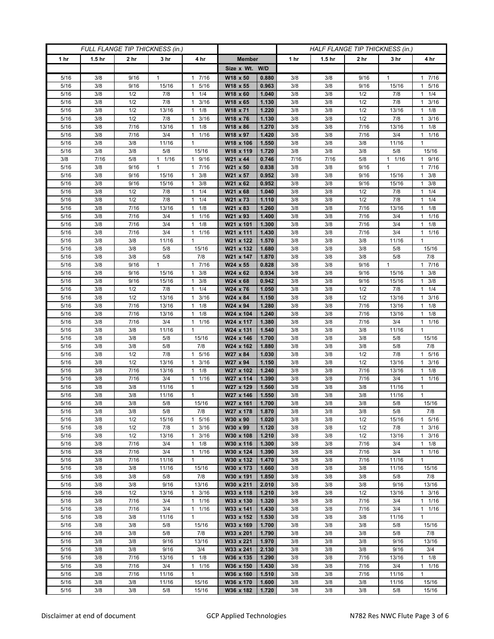| FULL FLANGE TIP THICKNESS (in.) |                   |                 |                 |                                              |                        |                |            |                   | HALF FLANGE TIP THICKNESS (in.) |                 |                         |  |
|---------------------------------|-------------------|-----------------|-----------------|----------------------------------------------|------------------------|----------------|------------|-------------------|---------------------------------|-----------------|-------------------------|--|
| 1 hr                            | 1.5 <sub>hr</sub> | 2 <sub>hr</sub> | 3 <sub>hr</sub> | 4 hr                                         | <b>Member</b>          |                | 1 hr       | 1.5 <sub>hr</sub> | 2 hr                            | 3 hr            | 4 hr                    |  |
|                                 |                   |                 |                 |                                              | Size x Wt. W/D         |                |            |                   |                                 |                 |                         |  |
| 5/16                            | 3/8               | 9/16            | 1               | 7/16<br>1                                    | W18 x 50               | 0.880          | 3/8        | 3/8               | 9/16                            | 1               | 17/16                   |  |
| 5/16                            | 3/8               | 9/16            | 15/16           | 5/16<br>$\mathbf{1}$                         | W18 x 55               | 0.963          | 3/8        | 3/8               | 9/16                            | 15/16           | 5/16<br>$\mathbf{1}$    |  |
| 5/16                            | 3/8               | 1/2             | 7/8             | 1/4<br>$\mathbf{1}$                          | W18 x 60               | 1.040          | 3/8        | 3/8               | 1/2                             | 7/8             | $1 \t1/4$               |  |
| 5/16                            | 3/8               | 1/2             | 7/8             | 3/16<br>1                                    | W18 x 65               | 1.130          | 3/8        | 3/8               | 1/2                             | 7/8             | 3/16<br>1               |  |
| 5/16                            | 3/8               | 1/2             | 13/16           | $\mathbf{1}$<br>1/8                          | W18 x 71               | 1.220          | 3/8        | 3/8               | 1/2                             | 13/16           | $1 \t1/8$               |  |
| 5/16                            | 3/8               | 1/2             | 7/8             | 3/16<br>$\mathbf{1}$                         | W18 x 76               | 1.130          | 3/8        | 3/8               | 1/2                             | 7/8             | $1 \t3/16$              |  |
| 5/16                            | 3/8               | 7/16            | 13/16           | 1/8<br>1                                     | W18 x 86               | 1.270          | 3/8        | 3/8               | 7/16                            | 13/16           | $1 \t1/8$               |  |
| 5/16                            | 3/8               | 7/16            | 3/4             | 1/16<br>$\mathbf{1}$                         | W18 x 97               | 1.420          | 3/8        | 3/8               | 7/16                            | 3/4             | 11/16                   |  |
| 5/16                            | 3/8               | 3/8             | 11/16           | $\mathbf{1}$                                 | W18 x 106              | 1.550          | 3/8        | 3/8               | 3/8                             | 11/16           | $\mathbf{1}$            |  |
| $\frac{1}{5}{16}$               | 3/8               | 3/8             | 5/8             | 15/16                                        | W18 x 119              | 1.720          | 3/8        | 3/8               | 3/8                             | 5/8             | 15/16                   |  |
| 3/8                             | 7/16<br>3/8       | 5/8<br>9/16     | 11/16<br>1      | 9/16<br>$\mathbf{1}$<br>7/16<br>$\mathbf{1}$ | W21 x 44               | 0.746<br>0.838 | 7/16       | 7/16              | 5/8<br>9/16                     | $1 \t1/16$<br>1 | 1 9/16<br>17/16         |  |
| 5/16<br>5/16                    | 3/8               | 9/16            | 15/16           | 3/8<br>$\mathbf{1}$                          | W21 x 50<br>W21 x 57   | 0.952          | 3/8<br>3/8 | 3/8<br>3/8        | 9/16                            | 15/16           | 3/8<br>1.               |  |
| 5/16                            | 3/8               | 9/16            | 15/16           | 3/8<br>$\mathbf{1}$                          | W21 x 62               | 0.952          | 3/8        | 3/8               | 9/16                            | 15/16           | $1 \t3/8$               |  |
| 5/16                            | 3/8               | 1/2             | 7/8             | 1/4<br>1                                     | W21 x 68               | 1.040          | 3/8        | 3/8               | 1/2                             | 7/8             | $1 \t1/4$               |  |
| 5/16                            | 3/8               | 1/2             | 7/8             | 1/4<br>$\mathbf{1}$                          | W21 x 73               | 1.110          | 3/8        | 3/8               | 1/2                             | 7/8             | $1 \t1/4$               |  |
| 5/16                            | 3/8               | 7/16            | 13/16           | 1/8<br>$\mathbf{1}$                          | W21 x 83               | 1.260          | 3/8        | 3/8               | 7/16                            | 13/16           | $1 \t1/8$               |  |
| 5/16                            | 3/8               | 7/16            | 3/4             | 1/16<br>$\mathbf{1}$                         | W21 x 93               | 1.400          | 3/8        | 3/8               | 7/16                            | 3/4             | $1 \t1/16$              |  |
| 5/16                            | 3/8               | 7/16            | 3/4             | 1/8<br>1                                     | W21 x 101              | 1.300          | 3/8        | 3/8               | 7/16                            | 3/4             | $1 \t1/8$               |  |
| 5/16                            | 3/8               | 7/16            | 3/4             | 1/16<br>$\mathbf{1}$                         | W21 x 111              | 1.430          | 3/8        | 3/8               | 7/16                            | 3/4             | 11/16                   |  |
| 5/16                            | 3/8               | 3/8             | 11/16           | $\mathbf{1}$                                 | W21 x 122              | 1.570          | 3/8        | 3/8               | 3/8                             | 11/16           | $\mathbf{1}$            |  |
| 5/16                            | 3/8               | 3/8             | 5/8             | 15/16                                        | W21 x 132              | 1.680          | 3/8        | 3/8               | 3/8                             | 5/8             | 15/16                   |  |
| 5/16                            | 3/8               | 3/8             | 5/8             | 7/8                                          | W21 x 147              | 1.870          | 3/8        | 3/8               | 3/8                             | 5/8             | 7/8                     |  |
| 5/16                            | 3/8               | 9/16            | $\mathbf{1}$    | 7/16<br>$\mathbf{1}$                         | W24 x 55               | 0.828          | 3/8        | 3/8               | 9/16                            | $\mathbf{1}$    | 17/16                   |  |
| 5/16                            | 3/8               | 9/16            | 15/16           | 3/8<br>1                                     | W24 x 62               | 0.934          | 3/8        | 3/8               | 9/16                            | 15/16           | $1 \t3/8$               |  |
| 5/16                            | 3/8               | 9/16            | 15/16           | 3/8<br>1                                     | W24 x 68               | 0.942          | 3/8        | 3/8               | 9/16                            | 15/16           | 3/8<br>$\mathbf{1}$     |  |
| 5/16                            | 3/8               | 1/2             | 7/8             | 1/4<br>$\mathbf{1}$                          | W24 x 76               | 1.050          | 3/8        | 3/8               | 1/2                             | 7/8             | $1 \t1/4$               |  |
| 5/16<br>5/16                    | 3/8<br>3/8        | 1/2<br>7/16     | 13/16<br>13/16  | 3/16<br>$\mathbf{1}$<br>1/8<br>1             | W24 x 84<br>W24 x 94   | 1.150<br>1.280 | 3/8<br>3/8 | 3/8<br>3/8        | 1/2<br>7/16                     | 13/16<br>13/16  | $1 \t3/16$<br>$1 \t1/8$ |  |
| 5/16                            | 3/8               | 7/16            | 13/16           | $\mathbf{1}$<br>1/8                          | W24 x 104              | 1.240          | 3/8        | 3/8               | 7/16                            | 13/16           | $1 \t1/8$               |  |
| 5/16                            | 3/8               | 7/16            | 3/4             | 1/16<br>$\mathbf{1}$                         | W24 x 117              | 1.380          | 3/8        | 3/8               | 7/16                            | 3/4             | 11/16                   |  |
| 5/16                            | 3/8               | 3/8             | 11/16           | 1                                            | W24 x 131              | 1.540          | 3/8        | 3/8               | 3/8                             | 11/16           | 1                       |  |
| 5/16                            | 3/8               | 3/8             | 5/8             | 15/16                                        | W24 x 146              | 1.700          | 3/8        | 3/8               | 3/8                             | 5/8             | 15/16                   |  |
| 5/16                            | 3/8               | 3/8             | 5/8             | 7/8                                          | W24 x 162              | 1.880          | 3/8        | 3/8               | 3/8                             | 5/8             | 7/8                     |  |
| 5/16                            | 3/8               | 1/2             | 7/8             | 5/16<br>$\mathbf{1}$                         | W27 x 84               | 1.030          | 3/8        | 3/8               | 1/2                             | 7/8             | 1 5/16                  |  |
| 5/16                            | 3/8               | 1/2             | 13/16           | 3/16<br>$\mathbf{1}$                         | W27 x 94               | 1.150          | 3/8        | 3/8               | 1/2                             | 13/16           | $1 \t3/16$              |  |
| 5/16                            | 3/8               | 7/16            | 13/16           | 1/8<br>1                                     | W27 x 102              | 1.240          | 3/8        | 3/8               | 7/16                            | 13/16           | $1 \t1/8$               |  |
| 5/16                            | 3/8               | 7/16            | 3/4             | 1/16<br>$\mathbf{1}$                         | W27 x 114              | 1.390          | 3/8        | 3/8               | 7/16                            | 3/4             | 1/16<br>1               |  |
| 5/16                            | 3/8               | 3/8             | 11/16           | $\mathbf{1}$                                 | W27 x 129              | 1.560          | 3/8        | 3/8               | 3/8                             | 11/16           | $\mathbf{1}$            |  |
| 5/16                            | 3/8               | 3/8             | 11/16           | $\mathbf{1}$                                 | W27 x 146              | 1.550          | 3/8        | 3/8               | 3/8                             | 11/16           | $\mathbf{1}$            |  |
| 5/16                            | 3/8               | 3/8             | 5/8             | 15/16                                        | W27 x 161              | 1.700          | 3/8        | 3/8               | 3/8                             | 5/8             | 15/16                   |  |
| 5/16                            | 3/8               | 3/8             | 5/8             | 7/8<br>$\mathbf{1}$                          | W27 x 178<br>W30 x 90  | 1.870<br>1.020 | 3/8        | 3/8               | 3/8                             | 5/8             | 7/8                     |  |
| 5/16<br>5/16                    | 3/8<br>3/8        | 1/2<br>1/2      | 15/16<br>7/8    | 5/16<br>3/16<br>$\mathbf{1}$                 | W30 x 99               | 1.120          | 3/8<br>3/8 | 3/8<br>3/8        | 1/2<br>1/2                      | 15/16<br>7/8    | 1 5/16<br>$1 \t3/16$    |  |
| 5/16                            | 3/8               | 1/2             | 13/16           | 3/16<br>$\mathbf{1}$                         | W30 x 108              | 1.210          | 3/8        | 3/8               | 1/2                             | 13/16           | 3/16<br>$\mathbf{1}$    |  |
| 5/16                            | 3/8               | 7/16            | 3/4             | 1/8<br>$\mathbf{1}$                          | W30 x 116              | 1.300          | 3/8        | 3/8               | 7/16                            | 3/4             | $1 \t1/8$               |  |
| 5/16                            | 3/8               | 7/16            | 3/4             | 1/16<br>$\mathbf{1}$                         | W30 x 124              | 1.390          | 3/8        | 3/8               | 7/16                            | 3/4             | 11/16                   |  |
| 5/16                            | 3/8               | 7/16            | 11/16           | $\mathbf{1}$                                 | W30 x 132              | 1.470          | 3/8        | 3/8               | 7/16                            | 11/16           | $\mathbf{1}$            |  |
| 5/16                            | 3/8               | 3/8             | 11/16           | 15/16                                        | W30 x 173              | 1.660          | 3/8        | 3/8               | 3/8                             | 11/16           | 15/16                   |  |
| 5/16                            | 3/8               | 3/8             | 5/8             | 7/8                                          | W30 x 191              | 1.850          | 3/8        | 3/8               | 3/8                             | 5/8             | 7/8                     |  |
| 5/16                            | 3/8               | 3/8             | 9/16            | 13/16                                        | W30 x 211              | 2.010          | 3/8        | 3/8               | 3/8                             | 9/16            | 13/16                   |  |
| 5/16                            | 3/8               | 1/2             | 13/16           | 3/16<br>$\mathbf{1}$                         | W33 x 118              | 1.210          | 3/8        | 3/8               | 1/2                             | 13/16           | $1 \t3/16$              |  |
| 5/16                            | 3/8               | 7/16            | 3/4             | 1/16<br>$\mathbf{1}$                         | W33 x 130              | 1.320          | 3/8        | 3/8               | 7/16                            | 3/4             | 11/16                   |  |
| 5/16                            | 3/8               | 7/16            | 3/4             | 1/16<br>$\mathbf{1}$                         | W33 x 141              | 1.430          | 3/8        | 3/8               | 7/16                            | 3/4             | $1 \t1/16$              |  |
| 5/16                            | 3/8               | 3/8             | 11/16           | $\mathbf{1}$                                 | W33 x 152              | 1.530          | 3/8        | 3/8               | 3/8                             | 11/16           | $\mathbf{1}$            |  |
| 5/16                            | 3/8               | 3/8             | 5/8             | 15/16                                        | W33 x 169              | 1.700          | 3/8        | 3/8               | 3/8                             | 5/8             | 15/16                   |  |
| 5/16                            | 3/8               | 3/8             | 5/8             | 7/8                                          | W33 x 201              | 1.790          | 3/8        | 3/8               | 3/8                             | 5/8             | 7/8                     |  |
| 5/16<br>5/16                    | 3/8<br>3/8        | 3/8<br>3/8      | 9/16<br>9/16    | 13/16<br>3/4                                 | W33 x 221<br>W33 x 241 | 1.970<br>2.130 | 3/8<br>3/8 | 3/8<br>3/8        | 3/8<br>3/8                      | 9/16<br>9/16    | 13/16<br>3/4            |  |
| 5/16                            | 3/8               | 7/16            | 13/16           | $1 \t1/8$                                    | W36 x 135              | 1.290          | 3/8        | 3/8               | 7/16                            | 13/16           | $1 \t1/8$               |  |
| 5/16                            | 3/8               | 7/16            | 3/4             | 1/16<br>$\mathbf{1}$                         | W36 x 150              | 1.430          | 3/8        | 3/8               | 7/16                            | 3/4             | $1 \t1/16$              |  |
| 5/16                            | 3/8               | 7/16            | 11/16           | $\mathbf{1}$                                 | W36 x 160              | 1.510          | 3/8        | 3/8               | 7/16                            | 11/16           | 1                       |  |
| 5/16                            | 3/8               | 3/8             | 11/16           | 15/16                                        | W36 x 170              | 1.600          | 3/8        | 3/8               | 3/8                             | 11/16           | 15/16                   |  |
| 5/16                            | 3/8               | 3/8             | 5/8             | 15/16                                        | W36 x 182              | 1.720          | 3/8        | 3/8               | 3/8                             | 5/8             | 15/16                   |  |
|                                 |                   |                 |                 |                                              |                        |                |            |                   |                                 |                 |                         |  |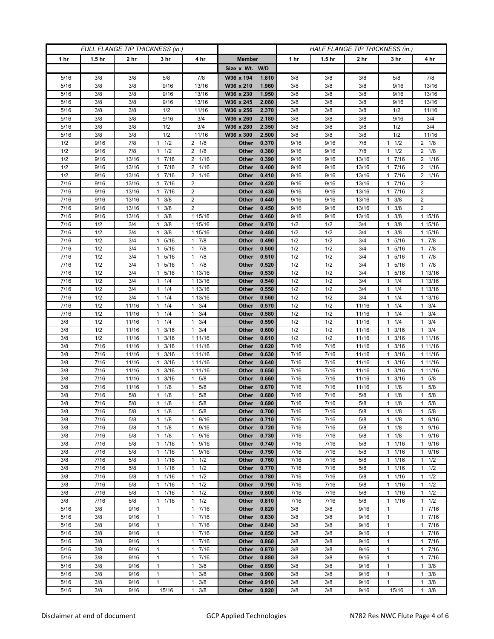| FULL FLANGE TIP THICKNESS (in.) |                   |                 |                                  |                                              | HALF FLANGE TIP THICKNESS (in.) |                |              |                   |                 |                              |                      |
|---------------------------------|-------------------|-----------------|----------------------------------|----------------------------------------------|---------------------------------|----------------|--------------|-------------------|-----------------|------------------------------|----------------------|
| 1 hr                            | 1.5 <sub>hr</sub> | 2 <sub>hr</sub> | 3 <sub>hr</sub>                  | 4 hr                                         | <b>Member</b>                   |                | 1 hr         | 1.5 <sub>hr</sub> | 2 <sub>hr</sub> | 3 hr                         | 4 hr                 |
|                                 |                   |                 |                                  |                                              | Size x Wt. W/D                  |                |              |                   |                 |                              |                      |
| 5/16                            | 3/8               | 3/8             | 5/8                              | 7/8                                          | W36 x 194                       | 1.810          | 3/8          | 3/8               | 3/8             | 5/8                          | 7/8                  |
| 5/16                            | 3/8               | 3/8             | 9/16                             | 13/16                                        | W36 x 210                       | 1.960          | 3/8          | 3/8               | 3/8             | 9/16                         | 13/16                |
| 5/16                            | 3/8               | 3/8             | 9/16                             | 13/16                                        | W36 x 230                       | 1.950          | 3/8          | 3/8               | 3/8             | 9/16                         | 13/16                |
| 5/16                            | 3/8               | 3/8             | 9/16                             | 13/16                                        | W36 x 245                       | 2.080          | 3/8          | 3/8               | 3/8             | 9/16                         | 13/16                |
| 5/16                            | 3/8               | 3/8             | 1/2                              | 11/16                                        | W36 x 256                       | 2.370          | 3/8          | 3/8               | 3/8             | 1/2                          | 11/16                |
| 5/16                            | 3/8<br>3/8        | 3/8<br>3/8      | 9/16<br>1/2                      | 3/4<br>3/4                                   | W36 x 260                       | 2.180<br>2.350 | 3/8<br>3/8   | 3/8<br>3/8        | 3/8<br>3/8      | 9/16<br>1/2                  | 3/4<br>3/4           |
| 5/16<br>5/16                    | 3/8               | 3/8             | 1/2                              | 11/16                                        | W36 x 280<br>W36 x 300          | 2.500          | 3/8          | 3/8               | 3/8             | 1/2                          | 11/16                |
| 1/2                             | 9/16              | 7/8             | 1/2<br>1                         | $2 \t1/8$                                    | Other                           | 0.370          | 9/16         | 9/16              | 7/8             | 1/2<br>1                     | $2 \t1/8$            |
| 1/2                             | 9/16              | 7/8             | 1/2<br>1                         | $2 \t1/8$                                    | Other                           | 0.380          | 9/16         | 9/16              | 7/8             | 1/2<br>1                     | $2 \t1/8$            |
| 1/2                             | 9/16              | 13/16           | 7/16<br>1                        | 2<br>1/16                                    | Other                           | 0.390          | 9/16         | 9/16              | 13/16           | 7/16<br>1                    | 2 1/16               |
| 1/2                             | 9/16              | 13/16           | 7/16<br>$\mathbf{1}$             | $1/16$<br>2                                  | Other                           | 0.400          | 9/16         | 9/16              | 13/16           | 7/16                         | 2 1/16               |
| 1/2                             | 9/16              | 13/16           | 7/16<br>1                        | 1/16<br>2                                    | Other                           | 0.410          | 9/16         | 9/16              | 13/16           | 7/16<br>1                    | 2 1/16               |
| 7/16                            | 9/16              | 13/16           | 7/16<br>$\mathbf{1}$             | 2                                            | Other                           | 0.420          | 9/16         | 9/16              | 13/16           | 7/16<br>1                    | $\overline{2}$       |
| 7/16                            | 9/16              | 13/16           | 7/16<br>$\mathbf{1}$             | $\overline{2}$                               | Other                           | 0.430          | 9/16         | 9/16              | 13/16           | 7/16                         | $\overline{2}$       |
| $\frac{1}{7}{16}$               | 9/16              | 13/16           | 3/8<br>1                         | $\overline{2}$                               | Other                           | 0.440          | 9/16         | 9/16              | 13/16           | 3/8<br>1                     | $\overline{2}$       |
| 7/16                            | 9/16              | 13/16           | 3/8<br>$\mathbf{1}$              | $\overline{2}$                               | Other                           | 0.450          | 9/16         | 9/16              | 13/16           | 3/8<br>1                     | $\overline{2}$       |
| 7/16                            | 9/16              | 13/16           | $1 \t3/8$                        | 1 15/16                                      | Other                           | 0.460          | 9/16         | 9/16              | 13/16           | 3/8<br>1                     | 1 15/16              |
| 7/16<br>7/16                    | 1/2<br>1/2        | 3/4<br>3/4      | 3/8<br>1<br>3/8<br>1             | 1 15/16<br>1 15/16                           | Other<br>Other                  | 0.470<br>0.480 | 1/2<br>1/2   | 1/2<br>1/2        | 3/4<br>3/4      | 3/8<br>1<br>3/8<br>1         | 1 15/16<br>1 15/16   |
| 7/16                            | 1/2               | 3/4             | 5/16<br>$\mathbf{1}$             | 7/8<br>$\mathbf{1}$                          | Other                           | 0.490          | 1/2          | 1/2               | 3/4             | 5/16<br>1                    | 17/8                 |
| 7/16                            | 1/2               | 3/4             | 1 5/16                           | 7/8<br>1                                     | Other                           | 0.500          | 1/2          | 1/2               | 3/4             | 5/16<br>1                    | 17/8                 |
| 7/16                            | 1/2               | 3/4             | 5/16<br>1                        | 7/8<br>$\mathbf{1}$                          | Other                           | 0.510          | 1/2          | 1/2               | 3/4             | 5/16                         | 17/8                 |
| 7/16                            | 1/2               | 3/4             | 5/16<br>$\mathbf{1}$             | 7/8<br>$\mathbf{1}$                          | <b>Other</b>                    | 0.520          | 1/2          | 1/2               | 3/4             | 5/16<br>1                    | $1 \t7/8$            |
| 7/16                            | 1/2               | 3/4             | 1 5/16                           | 1 13/16                                      | Other                           | 0.530          | 1/2          | 1/2               | 3/4             | 5/16<br>1.                   | 1 13/16              |
| 7/16                            | 1/2               | 3/4             | 1/4<br>1                         | 1 13/16                                      | Other                           | 0.540          | 1/2          | 1/2               | 3/4             | 1/4                          | 1 13/16              |
| 7/16                            | 1/2               | 3/4             | 1/4<br>$\mathbf{1}$              | 1 13/16                                      | <b>Other</b>                    | 0.550          | 1/2          | 1/2               | 3/4             | 1/4<br>1                     | 1 13/16              |
| 7/16                            | 1/2               | 3/4             | $1 \t1/4$                        | 1 13/16                                      | Other                           | 0.560          | 1/2          | 1/2               | 3/4             | $1 \t1/4$                    | 1 13/16              |
| 7/16                            | 1/2               | 11/16           | 1/4<br>1                         | 3/4<br>1                                     | Other                           | 0.570          | 1/2          | 1/2               | 11/16           | 1/4<br>1                     | $1 \t3/4$            |
| 7/16                            | 1/2               | 11/16           | 1/4<br>$\mathbf{1}$              | $\mathbf{1}$<br>3/4                          | Other                           | 0.580          | 1/2          | 1/2               | 11/16           | 1/4<br>1                     | $1 \t3/4$            |
| 3/8                             | 1/2               | 11/16           | $1 \t1/4$                        | 3/4<br>$\mathbf{1}$                          | Other                           | 0.590          | 1/2          | 1/2               | 11/16           | 1/4<br>1.                    | $1 \t3/4$            |
| 3/8<br>3/8                      | 1/2<br>1/2        | 11/16<br>11/16  | 3/16<br>1<br>3/16<br>1           | 3/4<br>1<br>1 1 1/16                         | Other<br>Other                  | 0.600<br>0.610 | 1/2<br>1/2   | 1/2<br>1/2        | 11/16<br>11/16  | 3/16<br>1<br>3/16<br>1       | $1 \t3/4$<br>1 11/16 |
| 3/8                             | 7/16              | 11/16           | 3/16<br>1                        | 1 11/16                                      | Other                           | 0.620          | 7/16         | 7/16              | 11/16           | 3/16                         | 1 1 1 / 16           |
| 3/8                             | 7/16              | 11/16           | 3/16<br>1                        | 1 11/16                                      | Other                           | 0.630          | 7/16         | 7/16              | 11/16           | 3/16<br>1                    | 1 1 1 / 16           |
| 3/8                             | 7/16              | 11/16           | 3/16<br>$\mathbf{1}$             | 1 11/16                                      | Other                           | 0.640          | 7/16         | 7/16              | 11/16           | 3/16<br>1                    | 1 1 1/16             |
| 3/8                             | 7/16              | 11/16           | 3/16<br>1                        | 1 11/16                                      | Other                           | 0.650          | 7/16         | 7/16              | 11/16           | 3/16                         | 1 1 1 / 16           |
| 3/8                             | 7/16              | 11/16           | 3/16<br>1                        | 5/8<br>$\mathbf{1}$                          | Other                           | 0.660          | 7/16         | 7/16              | 11/16           | 3/16                         | 5/8<br>$\mathbf{1}$  |
| 3/8                             | 7/16              | 11/16           | 1/8<br>$\mathbf{1}$              | 5/8<br>$\mathbf{1}$                          | Other                           | 0.670          | 7/16         | 7/16              | 11/16           | 1/8<br>1                     | 1 5/8                |
| 3/8                             | 7/16              | 5/8             | 1/8<br>1                         | 5/8<br>1                                     | Other                           | 0.680          | 7/16         | 7/16              | 5/8             | 1/8                          | 5/8<br>$\mathbf{1}$  |
| 3/8                             | $7/16$            | 5/8             | 1/8<br>$\mathbf{1}$              | 5/8<br>1                                     | Other                           | 0.690          | 7/16         | 7/16              | 5/8             | 1/8<br>1                     | 5/8<br>$\mathbf{1}$  |
| 3/8                             | 7/16              | 5/8             | $1 \t1/8$                        | 5/8<br>$\mathbf{1}$                          | Other                           | 0.700          | 7/16         | 7/16              | 5/8             | $1 \t1/8$                    | $1 \t5/8$            |
| 3/8                             | 7/16<br>7/16      | 5/8             | $1 \t1/8$                        | 9/16<br>1<br>9/16                            | Other                           | 0.710<br>0.720 | 7/16<br>7/16 | 7/16              | 5/8             | 1/8<br>$\mathbf{1}$<br>1/8   | 1 9/16               |
| 3/8<br>3/8                      | 7/16              | 5/8<br>5/8      | $1 \t1/8$<br>1/8<br>$\mathbf{1}$ | 1<br>9/16<br>$\mathbf{1}$                    | Other<br>Other                  | 0.730          | 7/16         | 7/16<br>7/16      | 5/8<br>5/8      | $\mathbf{1}$<br>1/8<br>1     | 1 9/16<br>1 9/16     |
| 3/8                             | 7/16              | 5/8             | $1 \t1/16$                       | 9/16<br>$\mathbf{1}$                         | Other                           | 0.740          | 7/16         | 7/16              | 5/8             | 1/16<br>1                    | 1 9/16               |
| 3/8                             | 7/16              | 5/8             | $1 \t1/16$                       | 9/16<br>1                                    | Other                           | 0.750          | 7/16         | 7/16              | 5/8             | 1 1/16                       | 1 9/16               |
| 3/8                             | 7/16              | 5/8             | 1/16<br>$\mathbf{1}$             | 1/2<br>1                                     | Other                           | 0.760          | 7/16         | 7/16              | 5/8             | 1/16<br>1                    | $1 \t1/2$            |
| 3/8                             | 7/16              | 5/8             | 11/16                            | 1/2<br>$\mathbf{1}$                          | Other                           | 0.770          | 7/16         | 7/16              | 5/8             | 1/16<br>$\mathbf{1}$         | $1 \t1/2$            |
| 3/8                             | 7/16              | 5/8             | $1 \t1/16$                       | 1/2<br>1                                     | Other                           | 0.780          | 7/16         | 7/16              | 5/8             | 1 1/16                       | $1 \t1/2$            |
| 3/8                             | 7/16              | 5/8             | 1/16<br>$\mathbf{1}$             | 1/2<br>$\mathbf{1}$                          | Other                           | 0.790          | 7/16         | 7/16              | 5/8             | 1/16<br>1                    | $1 \t1/2$            |
| 3/8                             | 7/16              | 5/8             | 11/16                            | $\mathbf{1}$<br>1/2                          | Other                           | 0.800          | 7/16         | 7/16              | 5/8             | 1/16<br>$\mathbf{1}$         | $1 \t1/2$            |
| 3/8                             | 7/16              | 5/8             | 1 1/16                           | 1/2<br>$\mathbf{1}$                          | Other                           | 0.810          | 7/16         | 7/16              | 5/8             | 11/16                        | $1 \t1/2$            |
| 5/16                            | 3/8               | 9/16            | 1                                | 7/16<br>$\mathbf{1}$                         | Other                           | 0.820          | 3/8          | 3/8               | 9/16            | 1                            | 17/16                |
| 5/16<br>5/16                    | 3/8<br>3/8        | 9/16<br>9/16    | $\mathbf{1}$<br>$\mathbf{1}$     | $\mathbf{1}$<br>7/16<br>7/16<br>$\mathbf{1}$ | Other<br>Other                  | 0.830<br>0.840 | 3/8<br>3/8   | 3/8<br>3/8        | 9/16<br>9/16    | $\mathbf{1}$<br>$\mathbf{1}$ | 17/16<br>17/16       |
| 5/16                            | 3/8               | 9/16            | $\mathbf{1}$                     | 7/16<br>$\mathbf{1}$                         | Other                           | 0.850          | 3/8          | 3/8               | 9/16            | $\mathbf{1}$                 | 17/16                |
| 5/16                            | 3/8               | 9/16            | $\mathbf{1}$                     | 7/16<br>1                                    | Other                           | 0.860          | 3/8          | 3/8               | 9/16            | $\mathbf{1}$                 | 17/16                |
| 5/16                            | 3/8               | 9/16            | $\mathbf{1}$                     | 7/16<br>$\mathbf{1}$                         | Other                           | 0.870          | 3/8          | 3/8               | 9/16            | $\mathbf{1}$                 | 17/16                |
| 5/16                            | 3/8               | 9/16            | $\mathbf{1}$                     | 7/16<br>1                                    | Other                           | 0.880          | 3/8          | 3/8               | 9/16            | $\mathbf{1}$                 | 17/16                |
| 5/16                            | 3/8               | 9/16            | $\mathbf{1}$                     | 3/8<br>$\mathbf{1}$                          | Other                           | 0.890          | 3/8          | 3/8               | 9/16            | $\mathbf{1}$                 | $1 \t3/8$            |
| 5/16                            | 3/8               | 9/16            | $\mathbf{1}$                     | 3/8<br>1                                     | Other                           | 0.900          | 3/8          | 3/8               | 9/16            | $\mathbf{1}$                 | $\mathbf{1}$<br>3/8  |
| 5/16                            | 3/8               | 9/16            | $\mathbf{1}$                     | 3/8<br>1                                     | Other                           | 0.910          | 3/8          | 3/8               | 9/16            | $\mathbf{1}$                 | 3/8<br>$\mathbf{1}$  |
| 5/16                            | 3/8               | 9/16            | 15/16                            | 3/8<br>$\mathbf{1}$                          | Other                           | 0.920          | 3/8          | 3/8               | 9/16            | 15/16                        | $1 \t3/8$            |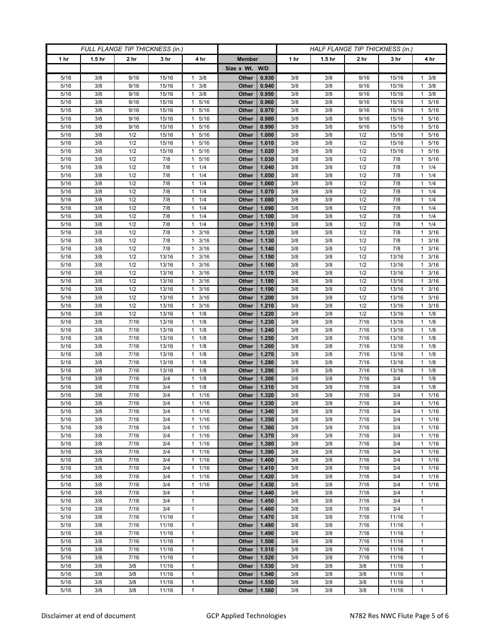| FULL FLANGE TIP THICKNESS (in.) |                   |                 |                 |                           |                | HALF FLANGE TIP THICKNESS (in.) |            |                   |                 |                |                        |  |
|---------------------------------|-------------------|-----------------|-----------------|---------------------------|----------------|---------------------------------|------------|-------------------|-----------------|----------------|------------------------|--|
| 1 hr                            | 1.5 <sub>hr</sub> | 2 <sub>hr</sub> | 3 <sub>hr</sub> | 4 hr                      | <b>Member</b>  |                                 | 1 hr       | 1.5 <sub>hr</sub> | 2 <sub>hr</sub> | 3 hr           | 4 hr                   |  |
|                                 |                   |                 |                 |                           | Size x Wt. W/D |                                 |            |                   |                 |                |                        |  |
| 5/16                            | 3/8               | 9/16            | 15/16           | 3/8<br>1                  | Other          | 0.930                           | 3/8        | 3/8               | 9/16            | 15/16          | 3/8<br>$\mathbf{1}$    |  |
| 5/16                            | 3/8               | 9/16            | 15/16           | 3/8<br>$\mathbf{1}$       | Other          | 0.940                           | 3/8        | 3/8               | 9/16            | 15/16          | $1 \t3/8$              |  |
| 5/16                            | 3/8               | 9/16            | 15/16           | 3/8<br>$\mathbf{1}$       | Other          | 0.950                           | 3/8        | 3/8               | 9/16            | 15/16          | $1 \t3/8$              |  |
| 5/16                            | 3/8               | 9/16            | 15/16           | 5/16<br>$\mathbf{1}$      | Other          | 0.960                           | 3/8        | 3/8               | 9/16            | 15/16          | 5/16<br>1              |  |
| 5/16                            | 3/8               | 9/16            | 15/16           | 5/16<br>1                 | Other          | 0.970                           | 3/8        | 3/8               | 9/16            | 15/16          | 5/16<br>$\mathbf{1}$   |  |
| 5/16                            | 3/8               | 9/16            | 15/16           | 5/16<br>$\mathbf{1}$      | Other          | 0.980                           | 3/8        | 3/8               | 9/16            | 15/16          | 5/16<br>$\mathbf{1}$   |  |
| 5/16                            | 3/8               | 9/16            | 15/16           | 5/16<br>1                 | Other          | 0.990                           | 3/8        | 3/8               | 9/16            | 15/16          | 5/16<br>1.             |  |
| 5/16                            | 3/8               | 1/2             | 15/16           | 5/16<br>1                 | Other          | 1.000                           | 3/8        | 3/8               | 1/2             | 15/16          | 5/16<br>1              |  |
| 5/16                            | 3/8               | 1/2             | 15/16           | 5/16<br>1                 | Other          | 1.010                           | 3/8        | 3/8               | 1/2             | 15/16          | 5/16<br>$\mathbf{1}$   |  |
| 5/16                            | 3/8               | 1/2             | 15/16           | 5/16<br>1                 | Other          | 1.020                           | 3/8        | 3/8               | 1/2             | 15/16          | 5/16<br>$\mathbf{1}$   |  |
| 5/16<br>5/16                    | 3/8<br>3/8        | 1/2<br>1/2      | 7/8<br>7/8      | 5/16<br>1<br>1/4<br>1     | Other<br>Other | 1.030<br>1.040                  | 3/8<br>3/8 | 3/8<br>3/8        | 1/2<br>1/2      | 7/8<br>7/8     | 1 5/16<br>$1 \t1/4$    |  |
| 5/16                            | 3/8               | 1/2             | 7/8             | 1/4<br>1                  | Other          | 1.050                           | 3/8        | 3/8               | 1/2             | 7/8            | 1/4<br>1               |  |
| 5/16                            | 3/8               | 1/2             | 7/8             | 1/4<br>$\mathbf{1}$       | Other          | 1.060                           | 3/8        | 3/8               | 1/2             | 7/8            | $1 \t1/4$              |  |
| 5/16                            | 3/8               | 1/2             | 7/8             | 1/4<br>1                  | Other          | 1.070                           | 3/8        | 3/8               | 1/2             | 7/8            | $1 \t1/4$              |  |
| 5/16                            | 3/8               | 1/2             | 7/8             | 1/4<br>$\mathbf{1}$       | Other          | 1.080                           | 3/8        | 3/8               | 1/2             | 7/8            | $1 \t1/4$              |  |
| 5/16                            | 3/8               | 1/2             | 7/8             | 1/4<br>$\mathbf{1}$       | Other          | 1.090                           | 3/8        | 3/8               | 1/2             | 7/8            | 11/4                   |  |
| 5/16                            | 3/8               | 1/2             | 7/8             | 1/4<br>1                  | Other          | 1.100                           | 3/8        | 3/8               | 1/2             | 7/8            | $1 \t1/4$              |  |
| 5/16                            | 3/8               | 1/2             | 7/8             | 1/4<br>1                  | Other          | 1.110                           | 3/8        | 3/8               | 1/2             | 7/8            | $1 \t1/4$              |  |
| 5/16                            | 3/8               | 1/2             | 7/8             | 3/16<br>1                 | Other          | 1.120                           | 3/8        | 3/8               | 1/2             | 7/8            | 3/16<br>$\mathbf{1}$   |  |
| 5/16                            | 3/8               | 1/2             | 7/8             | 3/16<br>$\mathbf{1}$      | Other          | 1.130                           | 3/8        | 3/8               | 1/2             | 7/8            | $1 \t3/16$             |  |
| 5/16                            | 3/8               | 1/2             | 7/8             | 3/16<br>1                 | Other          | 1.140                           | 3/8        | 3/8               | 1/2             | 7/8            | $1 \t3/16$             |  |
| 5/16                            | 3/8               | 1/2             | 13/16           | 3/16<br>1                 | Other          | 1.150                           | 3/8        | 3/8               | 1/2             | 13/16          | 3/16<br>1              |  |
| 5/16                            | 3/8               | 1/2             | 13/16           | 3/16<br>$\mathbf{1}$      | Other          | 1.160                           | 3/8        | 3/8               | 1/2             | 13/16          | 3/16<br>$\mathbf{1}$   |  |
| 5/16                            | 3/8               | 1/2             | 13/16           | 3/16<br>1                 | Other          | 1.170                           | 3/8        | 3/8               | 1/2             | 13/16          | $1 \t3/16$             |  |
| 5/16                            | 3/8               | 1/2             | 13/16           | 3/16<br>1                 | Other          | 1.180                           | 3/8        | 3/8               | 1/2             | 13/16          | 3/16<br>$\mathbf{1}$   |  |
| 5/16                            | 3/8               | 1/2             | 13/16           | 3/16<br>$\mathbf{1}$      | Other          | 1.190                           | 3/8        | 3/8               | 1/2             | 13/16          | 3/16<br>$\mathbf{1}$   |  |
| 5/16                            | 3/8               | 1/2             | 13/16           | 3/16<br>1                 | Other          | 1.200                           | 3/8        | 3/8               | 1/2             | 13/16          | $1 \t3/16$             |  |
| 5/16                            | 3/8               | 1/2             | 13/16           | 3/16<br>1                 | Other          | 1.210                           | 3/8        | 3/8               | 1/2             | 13/16          | 3/16<br>$\mathbf{1}$   |  |
| 5/16                            | 3/8               | 1/2             | 13/16           | $\mathbf{1}$<br>1/8       | Other          | 1.220                           | 3/8        | 3/8               | 1/2             | 13/16          | $1 \t1/8$              |  |
| 5/16<br>5/16                    | 3/8<br>3/8        | 7/16            | 13/16           | 1/8<br>$\mathbf{1}$<br>1  | Other          | 1.230                           | 3/8        | 3/8               | 7/16<br>7/16    | 13/16          | $1 \t1/8$              |  |
| 5/16                            | 3/8               | 7/16<br>7/16    | 13/16<br>13/16  | 1/8<br>1/8<br>1           | Other<br>Other | 1.240<br>1.250                  | 3/8<br>3/8 | 3/8<br>3/8        | 7/16            | 13/16<br>13/16 | $1 \t1/8$<br>$1 \t1/8$ |  |
| 5/16                            | 3/8               | 7/16            | 13/16           | 1/8<br>1                  | Other          | 1.260                           | 3/8        | 3/8               | 7/16            | 13/16          | $1 \t1/8$              |  |
| 5/16                            | 3/8               | 7/16            | 13/16           | 1/8<br>$\mathbf{1}$       | Other          | 1.270                           | 3/8        | 3/8               | 7/16            | 13/16          | $1 \t1/8$              |  |
| 5/16                            | 3/8               | 7/16            | 13/16           | 1/8<br>$\mathbf{1}$       | Other          | 1.280                           | 3/8        | 3/8               | 7/16            | 13/16          | $1 \t1/8$              |  |
| 5/16                            | 3/8               | 7/16            | 13/16           | 1/8<br>1                  | Other          | 1.290                           | 3/8        | 3/8               | 7/16            | 13/16          | $1 \t1/8$              |  |
| 5/16                            | 3/8               | 7/16            | 3/4             | 1/8<br>1                  | Other          | 1.300                           | 3/8        | 3/8               | 7/16            | 3/4            | 1/8<br>1.              |  |
| 5/16                            | 3/8               | 7/16            | 3/4             | 1/8<br>$\mathbf{1}$       | Other          | 1.310                           | 3/8        | 3/8               | 7/16            | 3/4            | $1 \t1/8$              |  |
| 5/16                            | 3/8               | 7/16            | 3/4             | 1/16<br>$\mathbf{1}$      | Other          | 1.320                           | 3/8        | 3/8               | 7/16            | 3/4            | 11/16                  |  |
| 5/16                            | 3/8               | $7/16$          | 3/4             | 1/16<br>$\mathbf{1}$      | Other          | 1.330                           | 3/8        | 3/8               | 7/16            | 3/4            | 11/16                  |  |
| 5/16                            | 3/8               | 7/16            | 3/4             | 1/16<br>$\mathbf{1}$      | Other          | 1.340                           | 3/8        | 3/8               | 7/16            | 3/4            | 11/16                  |  |
| 5/16                            | 3/8               | 7/16            | 3/4             | $\mathbf{1}$<br>1/16      | Other          | 1.350                           | 3/8        | 3/8               | 7/16            | 3/4            | $1 \t1/16$             |  |
| 5/16                            | 3/8               | 7/16            | 3/4             | 1/16<br>1                 | Other          | 1.360                           | 3/8        | 3/8               | 7/16            | 3/4            | $1 \t1/16$             |  |
| 5/16                            | 3/8               | 7/16            | 3/4             | 1/16<br>$\mathbf{1}$      | Other          | 1.370                           | 3/8        | 3/8               | 7/16            | 3/4            | 11/16                  |  |
| 5/16                            | 3/8               | 7/16            | 3/4             | 1/16<br>$\mathbf{1}$      | Other          | 1.380                           | 3/8        | 3/8               | 7/16            | 3/4            | $1 \t1/16$             |  |
| 5/16                            | 3/8               | 7/16            | 3/4             | 1/16<br>1                 | Other          | 1.390                           | 3/8        | 3/8               | 7/16            | 3/4            | $1 \t1/16$             |  |
| 5/16                            | 3/8               | 7/16            | 3/4             | 1/16<br>1<br>1/16         | Other          | 1.400<br>1.410                  | 3/8<br>3/8 | 3/8               | 7/16            | 3/4            | $1 \t1/16$             |  |
| 5/16<br>5/16                    | 3/8<br>3/8        | 7/16<br>7/16    | 3/4<br>3/4      | $\mathbf{1}$<br>1/16<br>1 | Other<br>Other | 1.420                           | 3/8        | 3/8<br>3/8        | 7/16<br>7/16    | 3/4<br>3/4     | 11/16<br>$1 \t1/16$    |  |
| 5/16                            | 3/8               | 7/16            | 3/4             | 1<br>1/16                 | Other          | 1.430                           | 3/8        | 3/8               | 7/16            | 3/4            | $1 \t1/16$             |  |
| 5/16                            | 3/8               | 7/16            | 3/4             | $\mathbf{1}$              | Other          | 1.440                           | 3/8        | 3/8               | 7/16            | 3/4            | $\mathbf{1}$           |  |
| 5/16                            | 3/8               | 7/16            | 3/4             | $\mathbf{1}$              | Other          | 1.450                           | 3/8        | 3/8               | 7/16            | 3/4            | 1                      |  |
| 5/16                            | 3/8               | 7/16            | 3/4             | 1                         | Other          | 1.460                           | 3/8        | 3/8               | 7/16            | 3/4            | 1                      |  |
| 5/16                            | 3/8               | 7/16            | 11/16           | $\mathbf{1}$              | Other          | 1.470                           | 3/8        | 3/8               | 7/16            | 11/16          | $\mathbf{1}$           |  |
| 5/16                            | 3/8               | 7/16            | 11/16           | $\mathbf{1}$              | Other          | 1.480                           | 3/8        | 3/8               | 7/16            | 11/16          | 1                      |  |
| 5/16                            | 3/8               | 7/16            | 11/16           | $\mathbf{1}$              | Other          | 1.490                           | 3/8        | 3/8               | 7/16            | 11/16          | 1                      |  |
| 5/16                            | 3/8               | 7/16            | 11/16           | $\mathbf{1}$              | Other          | 1.500                           | 3/8        | 3/8               | 7/16            | 11/16          | $\mathbf{1}$           |  |
| 5/16                            | 3/8               | 7/16            | 11/16           | $\mathbf{1}$              | Other          | 1.510                           | 3/8        | 3/8               | 7/16            | 11/16          | 1                      |  |
| 5/16                            | 3/8               | 7/16            | 11/16           | 1                         | Other          | 1.520                           | 3/8        | 3/8               | 7/16            | 11/16          | 1                      |  |
| 5/16                            | 3/8               | 3/8             | 11/16           | 1                         | Other          | 1.530                           | 3/8        | 3/8               | 3/8             | 11/16          | $\mathbf{1}$           |  |
| 5/16                            | 3/8               | 3/8             | 11/16           | $\mathbf{1}$              | Other          | 1.540                           | 3/8        | 3/8               | 3/8             | 11/16          | $\mathbf{1}$           |  |
| 5/16                            | 3/8               | 3/8             | 11/16           | 1                         | Other          | 1.550                           | 3/8        | 3/8               | 3/8             | 11/16          | 1                      |  |
| 5/16                            | 3/8               | 3/8             | 11/16           | 1                         | Other          | 1.560                           | 3/8        | 3/8               | 3/8             | 11/16          | $\mathbf{1}$           |  |